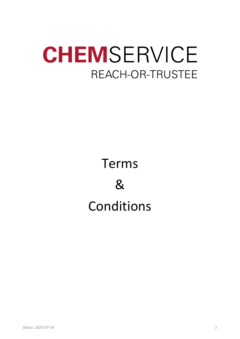# CHEMSERVICE REACH-OR-TRUSTEE

## Terms & Conditions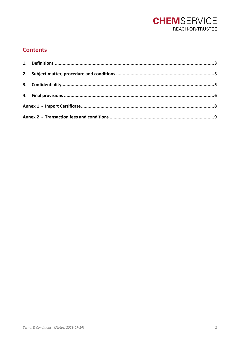

### **Contents**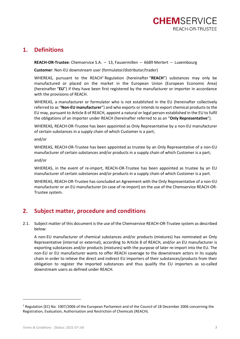

#### <span id="page-2-0"></span>**1. Definitions**

**REACH-OR-Trustee**: Chemservice S.A. – 13, Fausermillen – 6689 Mertert – Luxembourg

**Customer**: Non-EU downstream user (formulator/distributor/trader)

WHEREAS, pursuant to the REACH<sup>1</sup> Regulation (hereinafter "**REACH**") substances may only be manufactured or placed on the market in the European Union (European Economic Area) (hereinafter "**EU**") if they have been first registered by the manufacturer or importer in accordance with the provisions of REACH.

WHEREAS, a manufacturer or formulator who is not established in the EU (hereinafter collectively referred to as "**Non-EU manufacturer**") and who exports or intends to export chemical products to the EU may, pursuant to Article 8 of REACH, appoint a natural or legal person established in the EU to fulfil the obligations of an importer under REACH (hereinafter referred to as an "**Only Representative**").

WHEREAS, REACH-OR-Trustee has been appointed as Only Representative by a non-EU manufacturer of certain substances in a supply chain of which Customer is a part;

and/or

WHEREAS, REACH-OR-Trustee has been appointed as trustee by an Only Representative of a non-EU manufacturer of certain substances and/or products in a supply chain of which Customer is a part;

and/or

WHEREAS, in the event of re-import, REACH-OR-Trustee has been appointed as trustee by an EU manufacturer of certain substances and/or products in a supply chain of which Customer is a part.

WHEREAS, REACH-OR-Trustee has concluded an Agreement with the Only Representative of a non-EU manufacturer or an EU manufacturer (in case of re-import) on the use of the Chemservice REACH-OR-Trustee system.

## <span id="page-2-1"></span>**2. Subject matter, procedure and conditions**

2.1. Subject matter of this document is the use of the Chemservice REACH-OR-Trustee system as described below:

A non-EU manufacturer of chemical substances and/or products (mixtures) has nominated an Only Representative (internal or external), according to Article 8 of REACH, and/or an EU manufacturer is exporting substances and/or products (mixtures) with the purpose of later re-import into the EU. The non-EU or EU manufacturer wants to offer REACH coverage to the downstream actors in its supply chain in order to relieve the direct and indirect EU importers of their substances/products from their obligation to register the imported substances and thus qualify the EU importers as so-called downstream users as defined under REACH.

<sup>&</sup>lt;sup>1</sup> Regulation (EC) No. 1907/2006 of the European Parliament and of the Council of 18 December 2006 concerning the Registration, Evaluation, Authorisation and Restriction of Chemicals (REACH).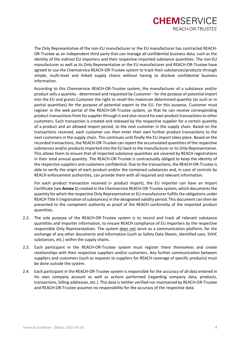## **CHEMSERVICE** REACH-OR-TRUSTEE

The Only Representative of the non-EU manufacturer or the EU manufacturer has contracted REACH-OR-Trustee as an independent third party that can manage all confidential business data, such as the identity of the indirect EU importers and their respective imported substance quantities. The non-EU manufacturer as well as its Only Representative or the EU manufacturer and REACH-OR-Trustee have agreed to use the Chemservice REACH-OR-Trustee system to track their substances/products through simple, multi-level and linked supply chains without having to disclose confidential business information.

According to this Chemservice REACH-OR-Trustee system, the manufacturer of a substance and/or product sells a quantity - determined and requested by Customer - for the purpose of potential import into the EU and grants Customer the right to resell this maximum determined quantity (as such or in partial quantities) for the purpose of potential export to the EU. For this purpose, Customer must register in the web portal of the REACH-OR-Trustee system, so that he can receive corresponding product transactions from his supplier through it and also record his own product transactions to other customers. Each transaction is created and released by the respective supplier for a certain quantity of a product and an allowed import period, to the next customer in the supply chain. Based on the transactions received, each customer can then enter their own further product transactions to the next customers in the supply chain. This continues until finally the EU import takes place. Based on the recorded transactions, the REACH-OR-Trustee can report the accumulated quantities of the respective substances and/or products imported into the EU back to the manufacturer or its Only Representative. This allows them to ensure that all imported substance quantities are covered by REACH registrations in their total annual quantity. The REACH-OR-Trustee is contractually obliged to keep the identity of the respective suppliers and customers confidential. Due to the transactions, the REACH-OR-Trustee is able to verify the origin of each product and/or the contained substances and, in case of controls by REACH enforcement authorities, can provide them with all required and relevant information.

For each product transaction received (= product import), the EU importer can have an Import Certificate (see **Annex 1**) created in the Chemservice REACH-OR-Trustee system, which documents the quantity for which the respective Only Representative or EU manufacturer fulfills the obligations under REACH Title II (registration of substances) in the designated validity period. This document can then be presented to the competent authority as proof of the REACH conformity of the imported product quantities.

- 2.2. The sole purpose of the REACH-OR-Trustee system is to record and track all relevant substance quantities and importer information, to ensure REACH compliance of EU importers by the respective responsible Only Representatives. The system does not serve as a communication platform, for the exchange of any other documents and information (such as Safety Data Sheets, identified uses, SVHC substances, etc.) within the supply chains.
- 2.3. Each participant in the REACH-OR-Trustee system must register there themselves and create relationships with their respective suppliers and/or customers. Any further communication between suppliers and customers (such as requests to suppliers for REACH coverage of specific products) must be done outside the system.
- 2.4. Each participant in the REACH-OR-Trustee system is responsible for the accuracy of all data entered in his own company account as well as actions performed (regarding company data, products, transactions, billing addresses, etc.). This data is neither verified nor maintained by REACH-OR-Trustee and REACH-OR-Trustee assumes no responsibility for the accuracy of the respective data.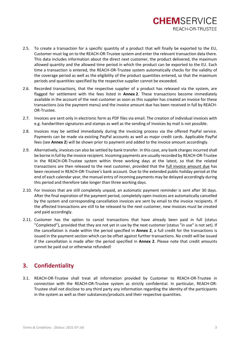## **CHEMSERVICE** REACH-OR-TRUSTEE

- 2.5. To create a transaction for a specific quantity of a product that will finally be exported to the EU, Customer must log on to the REACH-OR-Trustee system and enter the relevant transaction data there. This data includes information about the direct next customer, the product delivered, the maximum allowed quantity and the allowed time period in which the product can be exported to the EU. Each time a transaction is entered, the REACH-OR-Trustee system automatically checks for the validity of the coverage period as well as the eligibility of the product quantities entered, so that the maximum periods and quantities specified by the respective supplier cannot be exceeded.
- 2.6. Recorded transactions, that the respective supplier of a product has released via the system, are flagged for settlement with the fees listed in **Annex 2**. These transactions become immediately available in the account of the next customer as soon as this supplier has created an invoice for these transactions (via the payment menu) and the invoice amount due has been received in full by REACH-OR-Trustee.
- 2.7. Invoices are sent only in electronic form as PDF files via email. The creation of individual invoices with e.g. handwritten signatures and stamps as well as the sending of invoices by mail is not possible.
- 2.8. Invoices may be settled immediately during the invoicing process via the offered PayPal service. Payments can be made via existing PayPal accounts as well as major credit cards. Applicable PayPal fees (see **Annex 2**) will be shown prior to payment and added to the invoice amount accordingly.
- 2.9. Alternatively, invoices can also be settled by bank transfer. In this case, any bank charges incurred shall be borne in full by the invoice recipient. Incoming payments are usually recorded by REACH-OR-Trustee in the REACH-OR-Trustee system within three working days at the latest, so that the related transactions are then released to the next customer, provided that the full invoice amount due has been received in REACH-OR-Trustee's bank account. Due to the extended public holiday period at the end of each calendar year, the manual entry of incoming payments may be delayed accordingly during this period and therefore take longer than three working days.
- 2.10. For invoices that are still completely unpaid, an automatic payment reminder is sent after 30 days. After the final expiration of the payment period, completely open invoices are automatically cancelled by the system and corresponding cancellation invoices are sent by email to the invoice recipients. If the affected transactions are still to be released to the next customer, new invoices must be created and paid accordingly.
- 2.11. Customer has the option to cancel transactions that have already been paid in full (status "Completed"), provided that they are not yet in use by the next customer (status "in use" is not set). If the cancellation is made within the period specified in **Annex 2**, a full credit for the transactions is issued in the payment section which can be offset against further transactions. No credit will be issued if the cancellation is made after the period specified in **Annex 2**. Please note that credit amounts cannot be paid out or otherwise refunded!

### <span id="page-4-0"></span>**3. Confidentiality**

3.1. REACH-OR-Trustee shall treat all information provided by Customer to REACH-OR-Trustee in connection with the REACH-OR-Trustee system as strictly confidential. In particular, REACH-OR-Trustee shall not disclose to any third party any information regarding the identity of the participants in the system as well as their substances/products and their respective quantities.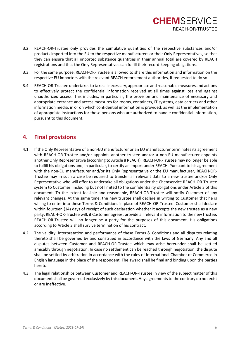

- 3.2. REACH-OR-Trustee only provides the cumulative quantities of the respective substances and/or products imported into the EU to the respective manufacturers or their Only Representatives, so that they can ensure that all imported substance quantities in their annual total are covered by REACH registrations and that the Only Representatives can fulfill their record-keeping obligations.
- 3.3. For the same purpose, REACH-OR-Trustee is allowed to share this information and information on the respective EU importers with the relevant REACH enforcement authorities, if requested to do so.
- 3.4. REACH-OR-Trustee undertakes to take all necessary, appropriate and reasonable measures and actions to effectively protect the confidential information received at all times against loss and against unauthorized access. This includes, in particular, the provision and maintenance of necessary and appropriate entrance and access measures for rooms, containers, IT systems, data carriers and other information media, in or on which confidential information is provided, as well as the implementation of appropriate instructions for those persons who are authorized to handle confidential information, pursuant to this document.

#### <span id="page-5-0"></span>**4. Final provisions**

- 4.1. If the Only Representative of a non-EU manufacturer or an EU manufacturer terminates its agreement with REACH-OR-Trustee and/or appoints another trustee and/or a non-EU manufacturer appoints another Only Representative (according to Article 8 REACH), REACH-OR-Trustee may no longer be able to fulfill his obligations and, in particular, to certify an import under REACH. Pursuant to his agreement with the non-EU manufacturer and/or its Only Representative or the EU manufacturer, REACH-OR-Trustee may in such a case be required to transfer all relevant data to a new trustee and/or Only Representative who will offer to undertake all obligations under the Chemservice REACH-OR-Trustee system to Customer, including but not limited to the confidentiality obligations under Article 3 of this document. To the extent feasible and reasonable, REACH-OR-Trustee will notify Customer of any relevant changes. At the same time, the new trustee shall declare in writing to Customer that he is willing to enter into these Terms & Conditions in place of REACH-OR-Trustee. Customer shall declare within fourteen (14) days of receipt of such declaration whether it accepts the new trustee as a new party. REACH-OR-Trustee will, if Customer agrees, provide all relevant information to the new trustee. REACH-OR-Trustee will no longer be a party for the purposes of this document. His obligations according to Article 3 shall survive termination of his contract.
- 4.2. The validity, interpretation and performance of these Terms & Conditions and all disputes relating thereto shall be governed by and construed in accordance with the laws of Germany. Any and all disputes between Customer and REACH-OR-Trustee which may arise hereunder shall be settled amicably through negotiation. In case no settlement can be reached through negotiation, the dispute shall be settled by arbitration in accordance with the rules of International Chamber of Commerce in English language in the place of the respondent. The award shall be final and binding upon the parties hereto.
- 4.3. The legal relationships between Customer and REACH-OR-Trustee in view of the subject matter of this document shall be governed exclusively by this document. Any agreements to the contrary do not exist or are ineffective.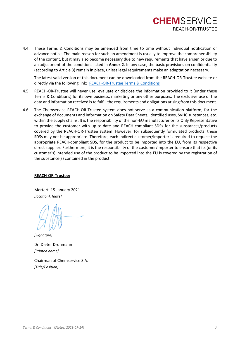

4.4. These Terms & Conditions may be amended from time to time without individual notification or advance notice. The main reason for such an amendment is usually to improve the comprehensibility of the content, but it may also become necessary due to new requirements that have arisen or due to an adjustment of the conditions listed in **Annex 2**. In any case, the basic provisions on confidentiality (according to Article 3) remain in place, unless legal requirements make an adaptation necessary.

The latest valid version of this document can be downloaded from the REACH-OR-Trustee website or directly via the following link: [REACH-OR-Trustee](https://eu.or-trustee.com/content/pdffiles/REACH-OR-Trustee_Terms_&_Conditions.pdf) Terms & Conditions

- 4.5. REACH-OR-Trustee will never use, evaluate or disclose the information provided to it (under these Terms & Conditions) for its own business, marketing or any other purposes. The exclusive use of the data and information received is to fulfill the requirements and obligations arising from this document.
- 4.6. The Chemservice REACH-OR-Trustee system does not serve as a communication platform, for the exchange of documents and information on Safety Data Sheets, identified uses, SVHC substances, etc. within the supply chains. It is the responsibility of the non-EU manufacturer or its Only Representative to provide the customer with up-to-date and REACH-compliant SDSs for the substances/products covered by the REACH-OR-Trustee system. However, for subsequently formulated products, these SDSs may not be appropriate. Therefore, each indirect customer/importer is required to request the appropriate REACH-compliant SDS, for the product to be imported into the EU, from its respective direct supplier. Furthermore, it is the responsibility of the customer/importer to ensure that its (or its customer's) intended use of the product to be imported into the EU is covered by the registration of the substance(s) contained in the product.

#### **REACH-OR-Trustee:**

Mertert, 15 January 2021

*[location], [date]*

*[Signature]*

Dr. Dieter Drohmann *[Printed name]*

Chairman of Chemservice S.A.

*[Title/Position]*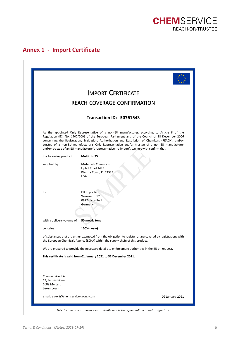

## <span id="page-7-0"></span>**Annex 1 - Import Certificate**

|                                                                    | <b>IMPORT CERTIFICATE</b>                                                                                                                                                                                                                                                                                                                                                                                                                                                                               |  |
|--------------------------------------------------------------------|---------------------------------------------------------------------------------------------------------------------------------------------------------------------------------------------------------------------------------------------------------------------------------------------------------------------------------------------------------------------------------------------------------------------------------------------------------------------------------------------------------|--|
|                                                                    | <b>REACH COVERAGE CONFIRMATION</b>                                                                                                                                                                                                                                                                                                                                                                                                                                                                      |  |
|                                                                    |                                                                                                                                                                                                                                                                                                                                                                                                                                                                                                         |  |
|                                                                    | Transaction ID: 50761543                                                                                                                                                                                                                                                                                                                                                                                                                                                                                |  |
|                                                                    | As the appointed Only Representative of a non-EU manufacturer, according to Article 8 of the<br>Regulation (EC) No. 1907/2006 of the European Parliament and of the Council of 18 December 2006<br>concerning the Registration, Evaluation, Authorization and Restriction of Chemicals (REACH), and/or<br>trustee of a non-EU manufacturer's Only Representative and/or trustee of a non-EU manufacturer<br>and/or trustee of an EU manufacturer's representative (re-import), we herewith confirm that |  |
| the following product                                              | <b>Multimix 25</b>                                                                                                                                                                                                                                                                                                                                                                                                                                                                                      |  |
| supplied by                                                        | Mishmash Chemicals<br>Uphill Road 1423<br>Plastics Town, KL 72533<br><b>USA</b>                                                                                                                                                                                                                                                                                                                                                                                                                         |  |
| to                                                                 | EU Importer<br>Wasserstr. 17<br>09724 Nordhall<br>Germany                                                                                                                                                                                                                                                                                                                                                                                                                                               |  |
| with a delivery volume of                                          | 50 metric tons                                                                                                                                                                                                                                                                                                                                                                                                                                                                                          |  |
| contains                                                           | 100% (w/w)                                                                                                                                                                                                                                                                                                                                                                                                                                                                                              |  |
|                                                                    | of substances that are either exempted from the obligation to register or are covered by registrations with<br>the European Chemicals Agency (ECHA) within the supply chain of this product.                                                                                                                                                                                                                                                                                                            |  |
|                                                                    | We are prepared to provide the necessary details to enforcement authorities in the EU on request.                                                                                                                                                                                                                                                                                                                                                                                                       |  |
|                                                                    | This certificate is valid from 01 January 2021 to 31 December 2021.                                                                                                                                                                                                                                                                                                                                                                                                                                     |  |
| Chemservice S.A.<br>13, Fausermillen<br>6689 Mertert<br>Luxembourg |                                                                                                                                                                                                                                                                                                                                                                                                                                                                                                         |  |
| email: eu-ort@chemservice-group.com                                | 09 January 2021                                                                                                                                                                                                                                                                                                                                                                                                                                                                                         |  |